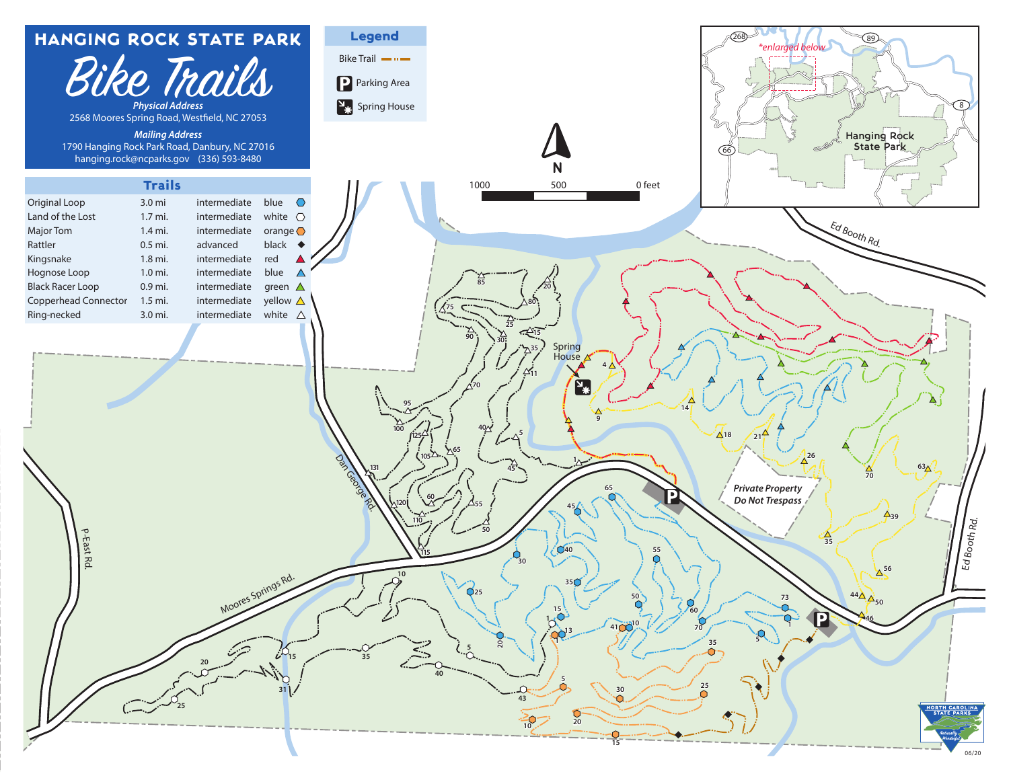